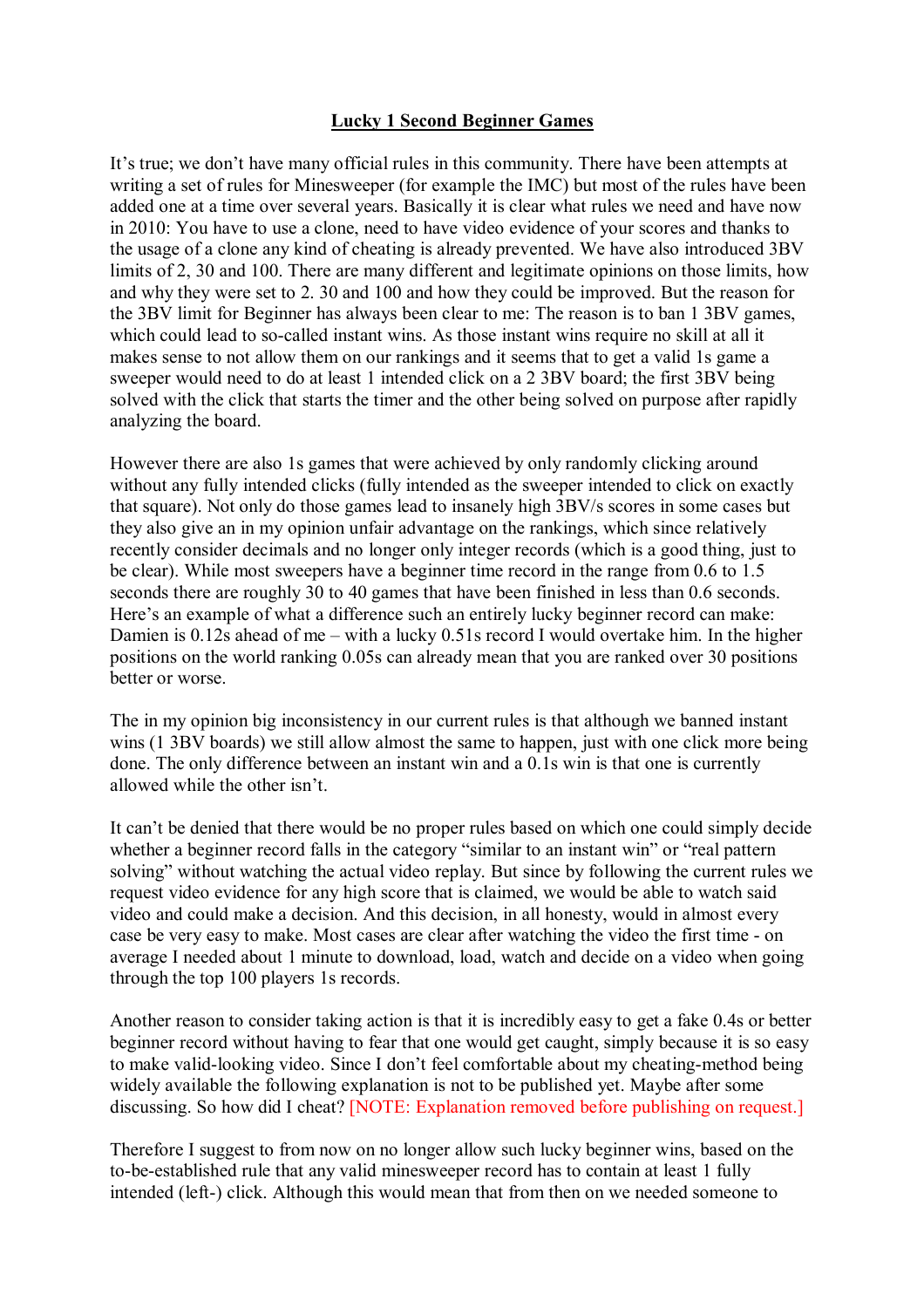## **Lucky 1 Second Beginner Games**

It's true; we don't have many official rules in this community. There have been attempts at writing a set of rules for Minesweeper (for example the IMC) but most of the rules have been added one at a time over several years. Basically it is clear what rules we need and have now in 2010: You have to use a clone, need to have video evidence of your scores and thanks to the usage of a clone any kind of cheating is already prevented. We have also introduced 3BV limits of 2, 30 and 100. There are many different and legitimate opinions on those limits, how and why they were set to 2. 30 and 100 and how they could be improved. But the reason for the 3BV limit for Beginner has always been clear to me: The reason is to ban 1 3BV games, which could lead to so-called instant wins. As those instant wins require no skill at all it makes sense to not allow them on our rankings and it seems that to get a valid 1s game a sweeper would need to do at least 1 intended click on a 2 3BV board; the first 3BV being solved with the click that starts the timer and the other being solved on purpose after rapidly analyzing the board.

However there are also 1s games that were achieved by only randomly clicking around without any fully intended clicks (fully intended as the sweeper intended to click on exactly that square). Not only do those games lead to insanely high 3BV/s scores in some cases but they also give an in my opinion unfair advantage on the rankings, which since relatively recently consider decimals and no longer only integer records (which is a good thing, just to be clear). While most sweepers have a beginner time record in the range from 0.6 to 1.5 seconds there are roughly 30 to 40 games that have been finished in less than 0.6 seconds. Here's an example of what a difference such an entirely lucky beginner record can make: Damien is 0.12s ahead of me – with a lucky 0.51s record I would overtake him. In the higher positions on the world ranking 0.05s can already mean that you are ranked over 30 positions better or worse.

The in my opinion big inconsistency in our current rules is that although we banned instant wins (1 3BV boards) we still allow almost the same to happen, just with one click more being done. The only difference between an instant win and a 0.1s win is that one is currently allowed while the other isn't.

It can't be denied that there would be no proper rules based on which one could simply decide whether a beginner record falls in the category "similar to an instant win" or "real pattern solving" without watching the actual video replay. But since by following the current rules we request video evidence for any high score that is claimed, we would be able to watch said video and could make a decision. And this decision, in all honesty, would in almost every case be very easy to make. Most cases are clear after watching the video the first time - on average I needed about 1 minute to download, load, watch and decide on a video when going through the top 100 players 1s records.

Another reason to consider taking action is that it is incredibly easy to get a fake 0.4s or better beginner record without having to fear that one would get caught, simply because it is so easy to make valid-looking video. Since I don't feel comfortable about my cheating-method being widely available the following explanation is not to be published yet. Maybe after some discussing. So how did I cheat? [NOTE: Explanation removed before publishing on request.]

Therefore I suggest to from now on no longer allow such lucky beginner wins, based on the to-be-established rule that any valid minesweeper record has to contain at least 1 fully intended (left-) click. Although this would mean that from then on we needed someone to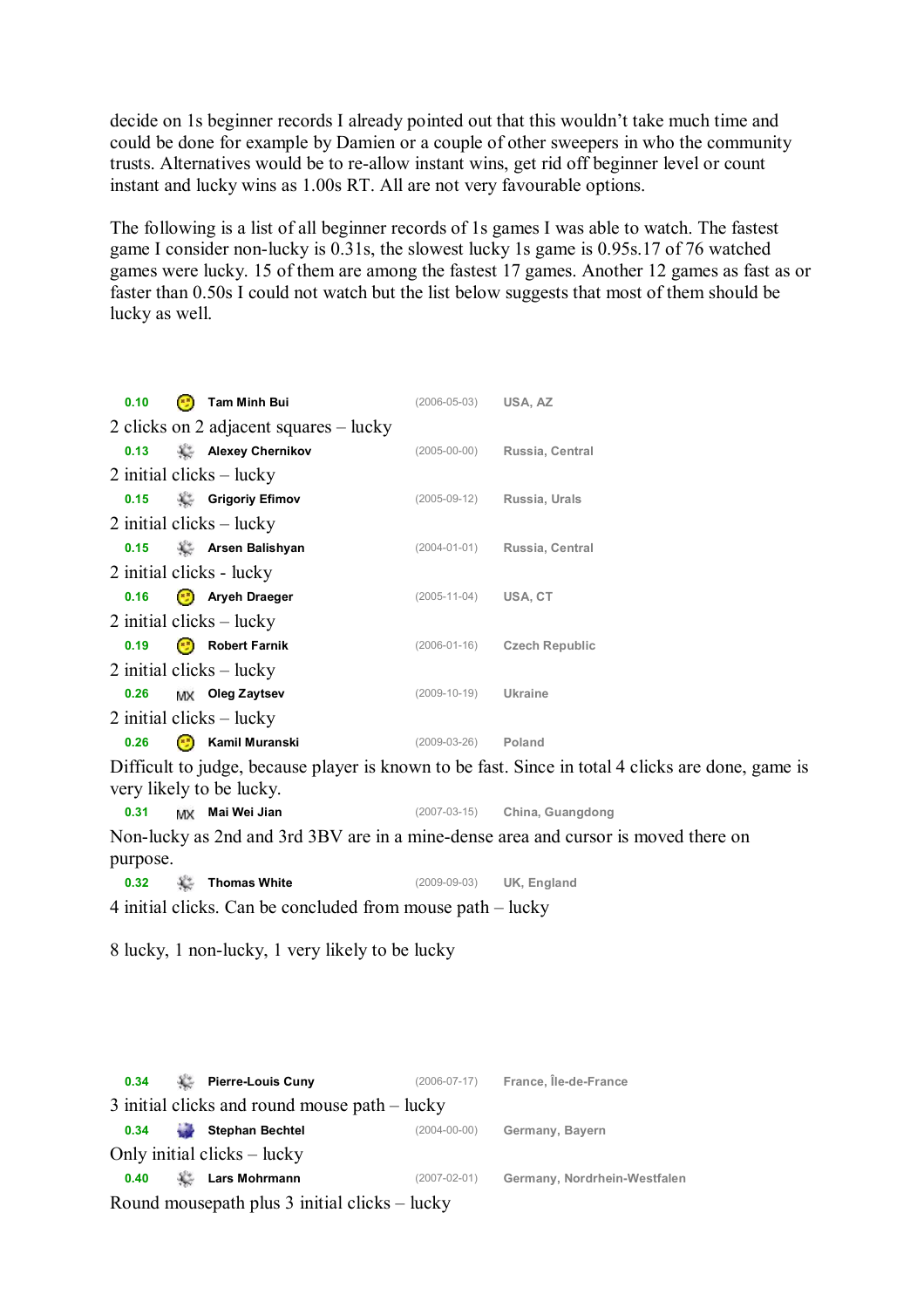decide on 1s beginner records I already pointed out that this wouldn't take much time and could be done for example by Damien or a couple of other sweepers in who the community trusts. Alternatives would be to re-allow instant wins, get rid off beginner level or count instant and lucky wins as 1.00s RT. All are not very favourable options.

The following is a list of all beginner records of 1s games I was able to watch. The fastest game I consider non-lucky is 0.31s, the slowest lucky 1s game is 0.95s.17 of 76 watched games were lucky. 15 of them are among the fastest 17 games. Another 12 games as fast as or faster than 0.50s I could not watch but the list below suggests that most of them should be lucky as well.

| 0.10                       |                                        |  | <b>Tam Minh Bui</b> | $(2006 - 05 - 03)$ | USA, AZ               |  |  |  |  |
|----------------------------|----------------------------------------|--|---------------------|--------------------|-----------------------|--|--|--|--|
|                            | 2 clicks on 2 adjacent squares – lucky |  |                     |                    |                       |  |  |  |  |
| 0.13                       |                                        |  | Alexey Chernikov    | $(2005 - 00 - 00)$ | Russia, Central       |  |  |  |  |
| 2 initial clicks $-$ lucky |                                        |  |                     |                    |                       |  |  |  |  |
| 0.15                       |                                        |  | Grigoriy Efimov     | $(2005-09-12)$     | Russia, Urals         |  |  |  |  |
| 2 initial clicks $-$ lucky |                                        |  |                     |                    |                       |  |  |  |  |
| 0.15                       |                                        |  | Arsen Balishyan     | $(2004 - 01 - 01)$ | Russia, Central       |  |  |  |  |
| 2 initial clicks - lucky   |                                        |  |                     |                    |                       |  |  |  |  |
| 0.16                       |                                        |  | Aryeh Draeger       | $(2005 - 11 - 04)$ | USA, CT               |  |  |  |  |
| 2 initial clicks $-$ lucky |                                        |  |                     |                    |                       |  |  |  |  |
| 0.19                       |                                        |  | Robert Farnik       | $(2006 - 01 - 16)$ | <b>Czech Republic</b> |  |  |  |  |
| 2 initial clicks $-$ lucky |                                        |  |                     |                    |                       |  |  |  |  |
| 0.26                       |                                        |  | MX Oleg Zaytsev     | $(2009 - 10 - 19)$ | Ukraine               |  |  |  |  |
| 2 initial clicks $-$ lucky |                                        |  |                     |                    |                       |  |  |  |  |
| 0.26                       |                                        |  | Kamil Muranski      | (2009-03-26)       | Poland                |  |  |  |  |

Difficult to judge, because player is known to be fast. Since in total 4 clicks are done, game is very likely to be lucky.

**0.31 Mai Wei Jian** (2007-03-15) **China, Guangdong**

Non-lucky as 2nd and 3rd 3BV are in a mine-dense area and cursor is moved there on purpose.

**0.32 Thomas White** (2009-09-03) **UK, England**

4 initial clicks. Can be concluded from mouse path – lucky

8 lucky, 1 non-lucky, 1 very likely to be lucky

| 0.34                                          |             | Pierre-Louis Cuny      | $(2006 - 07 - 17)$ | France, Île-de-France        |  |  |  |  |
|-----------------------------------------------|-------------|------------------------|--------------------|------------------------------|--|--|--|--|
| 3 initial clicks and round mouse path – lucky |             |                        |                    |                              |  |  |  |  |
| 0.34                                          | <b>Cold</b> | <b>Stephan Bechtel</b> | $(2004 - 00 - 00)$ | Germany, Bayern              |  |  |  |  |
| Only initial clicks – lucky                   |             |                        |                    |                              |  |  |  |  |
| 0.40                                          |             | <b>Lars Mohrmann</b>   | $(2007 - 02 - 01)$ | Germany, Nordrhein-Westfalen |  |  |  |  |
| Round mousepath plus 3 initial clicks – lucky |             |                        |                    |                              |  |  |  |  |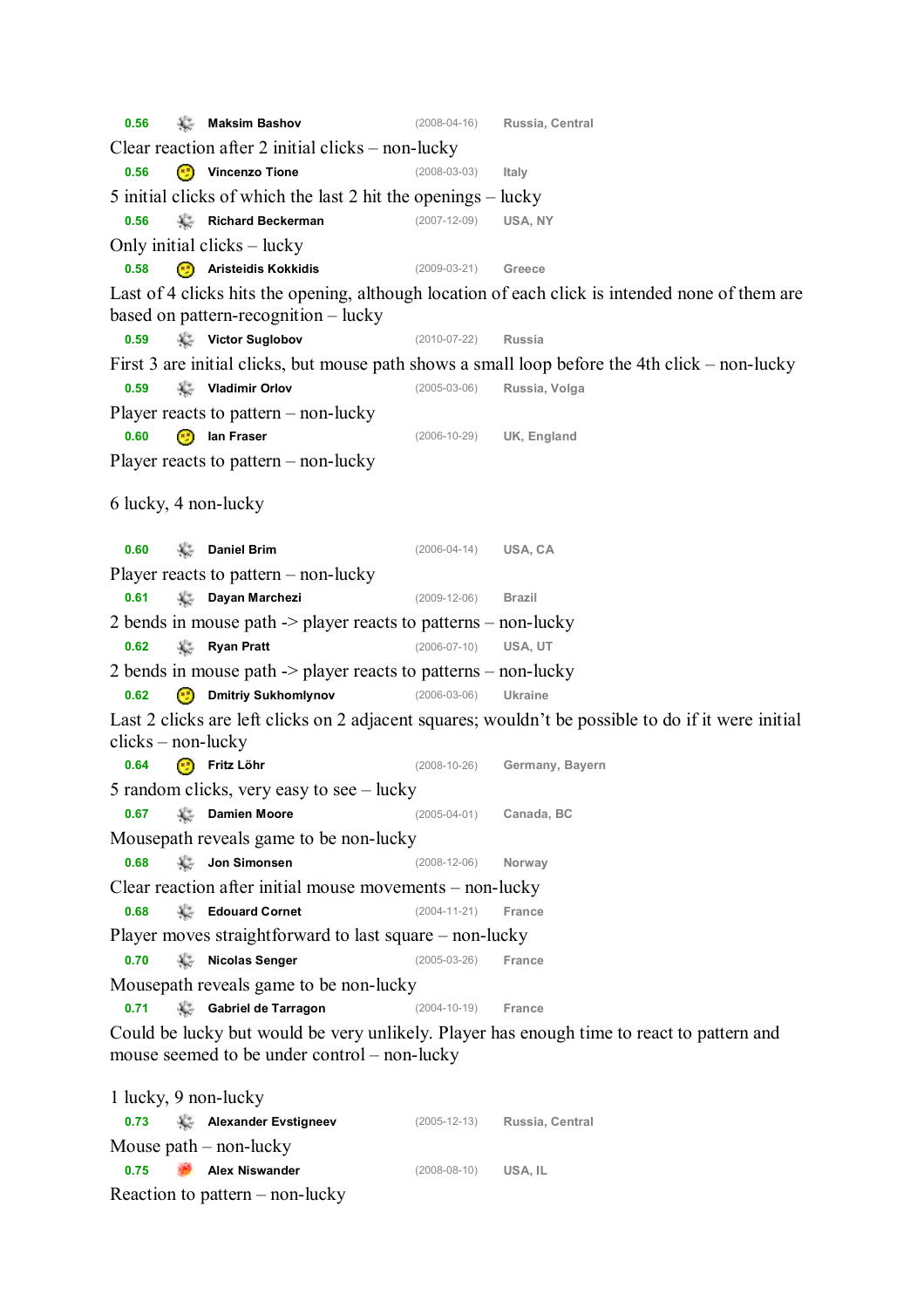**0.56 Maksim Bashov** (2008-04-16) **Russia, Central** Clear reaction after 2 initial clicks – non-lucky **0.56 Vincenzo Tione** (2008-03-03) **Italy** 5 initial clicks of which the last 2 hit the openings – lucky **0.56 Richard Beckerman** (2007-12-09) **USA, NY** Only initial clicks – lucky **0.58 Aristeidis Kokkidis** (2009-03-21) **Greece** Last of 4 clicks hits the opening, although location of each click is intended none of them are based on pattern-recognition – lucky **0.59 Victor Suglobov** (2010-07-22) **Russia** First 3 are initial clicks, but mouse path shows a small loop before the 4th click – non-lucky **0.59 Vladimir Orlov** (2005-03-06) **Russia, Volga** Player reacts to pattern – non-lucky **0.60 Ian Fraser** (2006-10-29) **UK, England** Player reacts to pattern – non-lucky 6 lucky, 4 non-lucky **0.60 Daniel Brim** (2006-04-14) **USA, CA** Player reacts to pattern – non-lucky **0.61 Dayan Marchezi** (2009-12-06) **Brazil** 2 bends in mouse path -> player reacts to patterns – non-lucky **0.62 Ryan Pratt** (2006-07-10) **USA, UT** 2 bends in mouse path -> player reacts to patterns – non-lucky **0.62 Dmitriy Sukhomlynov** (2006-03-06) **Ukraine** Last 2 clicks are left clicks on 2 adjacent squares; wouldn't be possible to do if it were initial clicks – non-lucky **0.64 Fritz Löhr** (2008-10-26) **Germany, Bayern** 5 random clicks, very easy to see – lucky **0.67 Damien Moore** (2005-04-01) **Canada, BC** Mousepath reveals game to be non-lucky **0.68 Jon Simonsen** (2008-12-06) **Norway** Clear reaction after initial mouse movements – non-lucky **0.68 Edouard Cornet** (2004-11-21) **France** Player moves straightforward to last square – non-lucky **0.70 Nicolas Senger** (2005-03-26) **France** Mousepath reveals game to be non-lucky **0.71 Gabriel de Tarragon** (2004-10-19) **France** Could be lucky but would be very unlikely. Player has enough time to react to pattern and mouse seemed to be under control – non-lucky 1 lucky, 9 non-lucky

**0.73 Alexander Evstigneev** (2005-12-13) **Russia, Central** Mouse path – non-lucky **0.75 Alex Niswander** (2008-08-10) **USA, IL** Reaction to pattern – non-lucky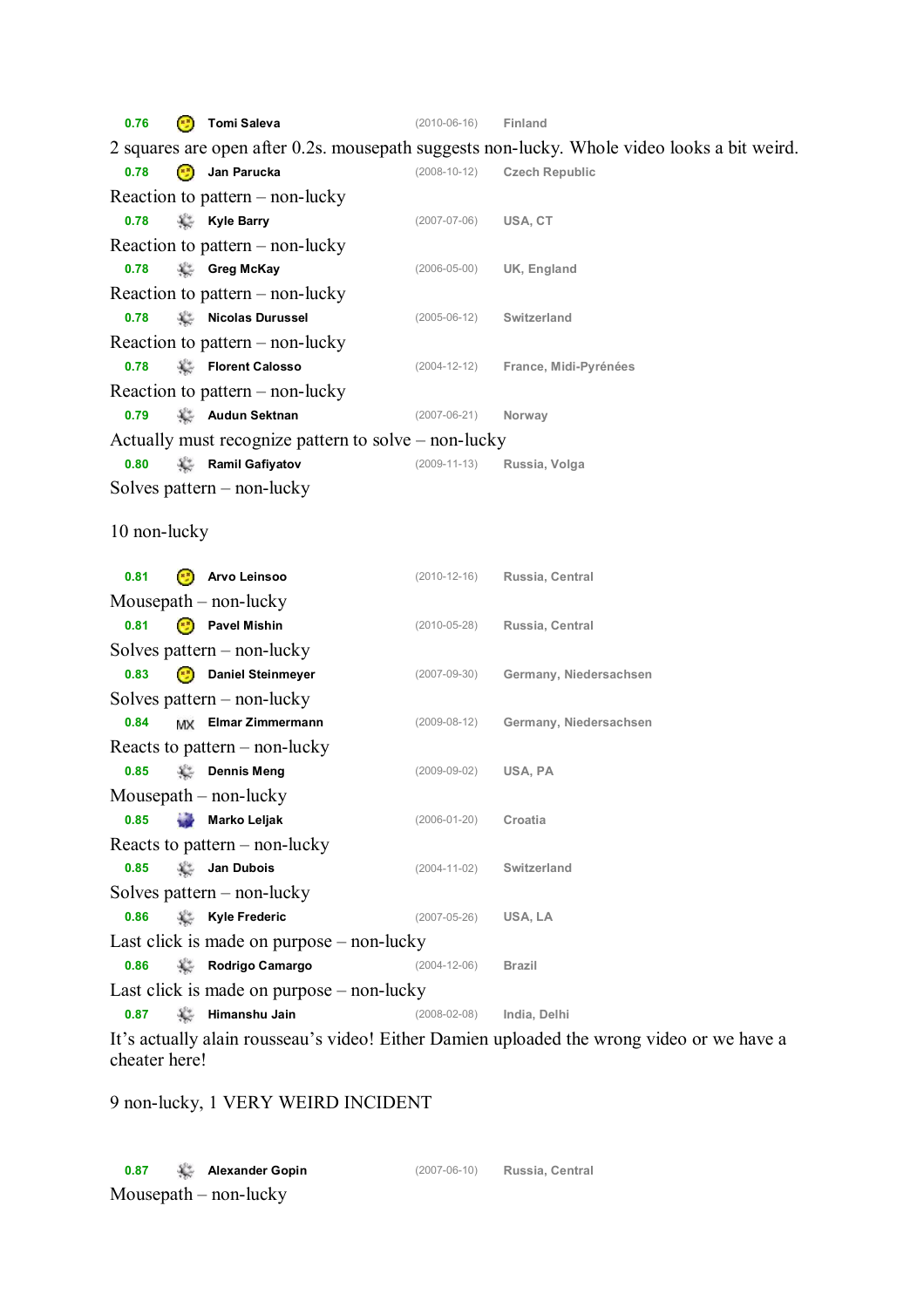**0.76 Tomi Saleva** (2010-06-16) **Finland** 2 squares are open after 0.2s. mousepath suggests non-lucky. Whole video looks a bit weird. **0.78 Jan Parucka** (2008-10-12) **Czech Republic** Reaction to pattern – non-lucky **0.78 Kyle Barry** (2007-07-06) **USA, CT** Reaction to pattern – non-lucky **0.78 Greg McKay** (2006-05-00) **UK, England** Reaction to pattern – non-lucky **0.78 Nicolas Durussel** (2005-06-12) **Switzerland** Reaction to pattern – non-lucky **0.78 Florent Calosso** (2004-12-12) **France, Midi-Pyrénées** Reaction to pattern – non-lucky **0.79 Audun Sektnan** (2007-06-21) **Norway** Actually must recognize pattern to solve – non-lucky **0.80 Ramil Gafiyatov** (2009-11-13) **Russia, Volga** Solves pattern – non-lucky 10 non-lucky **0.81 Arvo Leinsoo** (2010-12-16) **Russia, Central** Mousepath – non-lucky **0.81 Pavel Mishin** (2010-05-28) **Russia, Central** Solves pattern – non-lucky **0.83 Daniel Steinmeyer** (2007-09-30) **Germany, Niedersachsen** Solves pattern – non-lucky **0.84 Elmar Zimmermann** (2009-08-12) **Germany, Niedersachsen** Reacts to pattern – non-lucky **0.85 Dennis Meng** (2009-09-02) **USA, PA** Mousepath – non-lucky **0.85 Marko Leljak** (2006-01-20) **Croatia** Reacts to pattern – non-lucky **0.85 Jan Dubois** (2004-11-02) **Switzerland** Solves pattern – non-lucky **0.86 Kyle Frederic** (2007-05-26) **USA, LA** Last click is made on purpose – non-lucky **0.86 Rodrigo Camargo** (2004-12-06) **Brazil** Last click is made on purpose – non-lucky **0.87 Himanshu Jain** (2008-02-08) **India, Delhi**

It's actually alain rousseau's video! Either Damien uploaded the wrong video or we have a cheater here!

9 non-lucky, 1 VERY WEIRD INCIDENT

**0.87 Alexander Gopin** (2007-06-10) **Russia, Central** Mousepath – non-lucky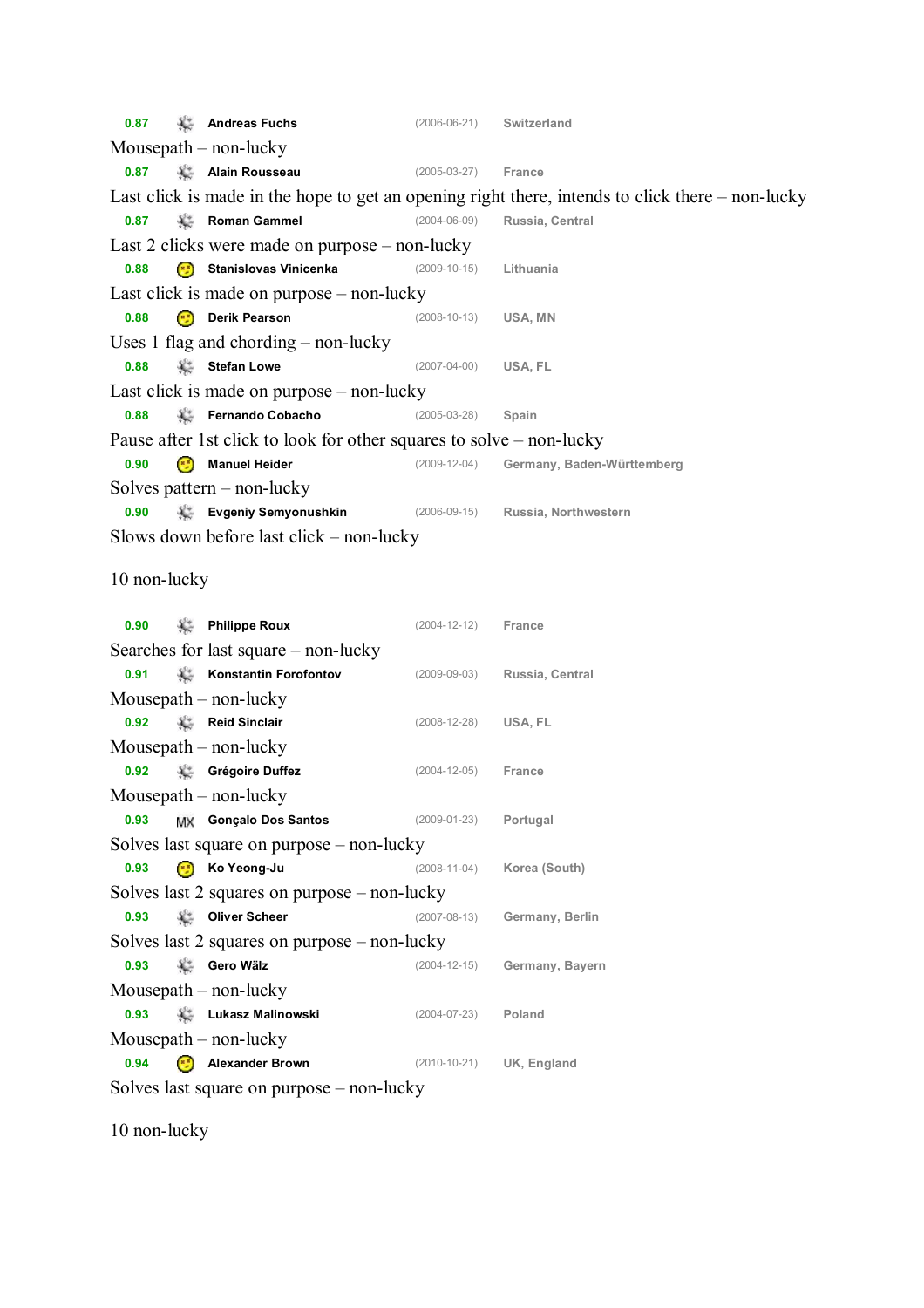**0.87 Andreas Fuchs** (2006-06-21) **Switzerland** Mousepath – non-lucky **0.87 Alain Rousseau** (2005-03-27) **France** Last click is made in the hope to get an opening right there, intends to click there – non-lucky **0.87 Roman Gammel** (2004-06-09) **Russia, Central** Last 2 clicks were made on purpose – non-lucky **0.88 Stanislovas Vinicenka** (2009-10-15) **Lithuania** Last click is made on purpose – non-lucky **0.88 Derik Pearson** (2008-10-13) **USA, MN** Uses 1 flag and chording – non-lucky **0.88 Stefan Lowe** (2007-04-00) **USA, FL** Last click is made on purpose – non-lucky **0.88 Fernando Cobacho** (2005-03-28) **Spain** Pause after 1st click to look for other squares to solve – non-lucky **0.90 Manuel Heider** (2009-12-04) **Germany, Baden-Württemberg**  Solves pattern – non-lucky **0.90 Evgeniy Semyonushkin** (2006-09-15) **Russia, Northwestern** Slows down before last click – non-lucky 10 non-lucky **0.90 Philippe Roux** (2004-12-12) **France** Searches for last square – non-lucky **0.91 Konstantin Forofontov** (2009-09-03) **Russia, Central** Mousepath – non-lucky **0.92 Reid Sinclair** (2008-12-28) **USA, FL** Mousepath – non-lucky **0.92 Grégoire Duffez** (2004-12-05) **France** Mousepath – non-lucky **0.93 Gonçalo Dos Santos** (2009-01-23) **Portugal** Solves last square on purpose – non-lucky **0.93 Ko Yeong-Ju** (2008-11-04) **Korea (South)** Solves last 2 squares on purpose – non-lucky **0.93 Oliver Scheer** (2007-08-13) **Germany, Berlin** Solves last 2 squares on purpose – non-lucky **0.93 Gero Wälz** (2004-12-15) **Germany, Bayern** Mousepath – non-lucky **0.93 Lukasz Malinowski** (2004-07-23) **Poland**

Solves last square on purpose – non-lucky

**0.94 Alexander Brown** (2010-10-21) **UK, England**

10 non-lucky

Mousepath – non-lucky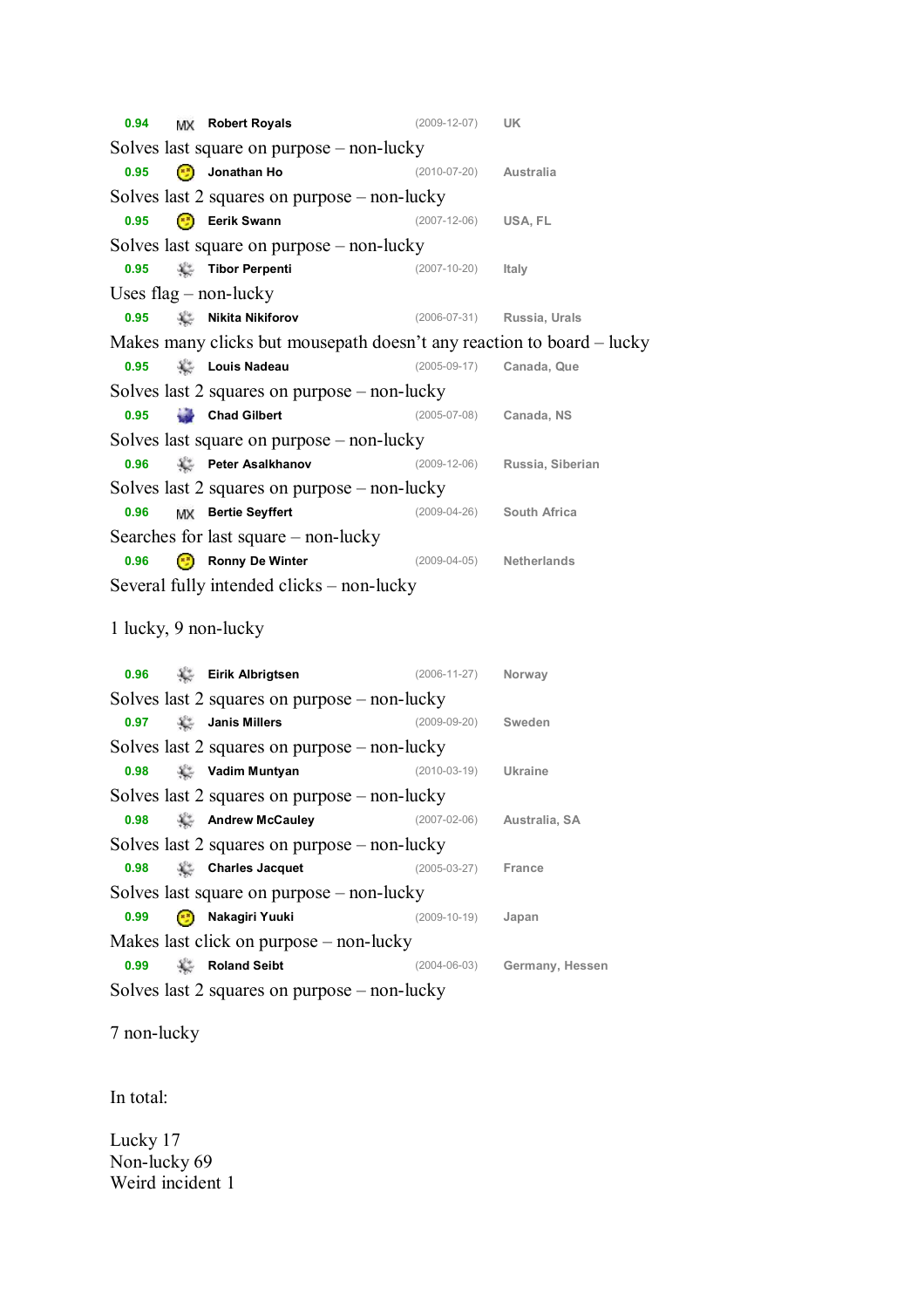**0.94 Robert Royals** (2009-12-07) **UK** Solves last square on purpose – non-lucky **0.95 Jonathan Ho** (2010-07-20) **Australia** Solves last 2 squares on purpose – non-lucky **0.95 Eerik Swann** (2007-12-06) **USA, FL** Solves last square on purpose – non-lucky **0.95 Tibor Perpenti** (2007-10-20) **Italy** Uses flag – non-lucky **0.95 Nikita Nikiforov** (2006-07-31) **Russia, Urals** Makes many clicks but mousepath doesn't any reaction to board – lucky **0.95 Louis Nadeau** (2005-09-17) **Canada, Que** Solves last 2 squares on purpose – non-lucky **0.95 Chad Gilbert** (2005-07-08) **Canada, NS** Solves last square on purpose – non-lucky **0.96 Peter Asalkhanov** (2009-12-06) **Russia, Siberian** Solves last 2 squares on purpose – non-lucky **0.96 Bertie Seyffert** (2009-04-26) **South Africa** Searches for last square – non-lucky **0.96 Ronny De Winter** (2009-04-05) **Netherlands** Several fully intended clicks – non-lucky 1 lucky, 9 non-lucky **0.96 Eirik Albrigtsen** (2006-11-27) **Norway** Solves last 2 squares on purpose – non-lucky **0.97 Janis Millers** (2009-09-20) **Sweden** Solves last 2 squares on purpose – non-lucky **0.98 Vadim Muntyan** (2010-03-19) **Ukraine** Solves last 2 squares on purpose – non-lucky **0.98 Andrew McCauley** (2007-02-06) **Australia, SA** Solves last 2 squares on purpose – non-lucky **0.98 Charles Jacquet** (2005-03-27) **France** Solves last square on purpose – non-lucky **0.99 Nakagiri Yuuki** (2009-10-19) **Japan** Makes last click on purpose – non-lucky **0.99 Roland Seibt** (2004-06-03) **Germany, Hessen** Solves last 2 squares on purpose – non-lucky

7 non-lucky

In total:

Lucky 17 Non-lucky 69 Weird incident 1